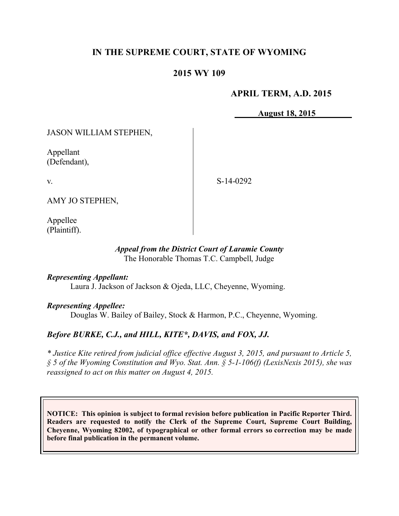# **IN THE SUPREME COURT, STATE OF WYOMING**

## **2015 WY 109**

## **APRIL TERM, A.D. 2015**

**August 18, 2015**

JASON WILLIAM STEPHEN,

Appellant (Defendant),

v.

S-14-0292

AMY JO STEPHEN,

Appellee (Plaintiff).

### *Appeal from the District Court of Laramie County* The Honorable Thomas T.C. Campbell, Judge

### *Representing Appellant:*

Laura J. Jackson of Jackson & Ojeda, LLC, Cheyenne, Wyoming.

### *Representing Appellee:*

Douglas W. Bailey of Bailey, Stock & Harmon, P.C., Cheyenne, Wyoming.

# *Before BURKE, C.J., and HILL, KITE\*, DAVIS, and FOX, JJ.*

*\* Justice Kite retired from judicial office effective August 3, 2015, and pursuant to Article 5, § 5 of the Wyoming Constitution and Wyo. Stat. Ann. § 5-1-106(f) (LexisNexis 2015), she was reassigned to act on this matter on August 4, 2015.*

**NOTICE: This opinion is subject to formal revision before publication in Pacific Reporter Third. Readers are requested to notify the Clerk of the Supreme Court, Supreme Court Building, Cheyenne, Wyoming 82002, of typographical or other formal errors so correction may be made before final publication in the permanent volume.**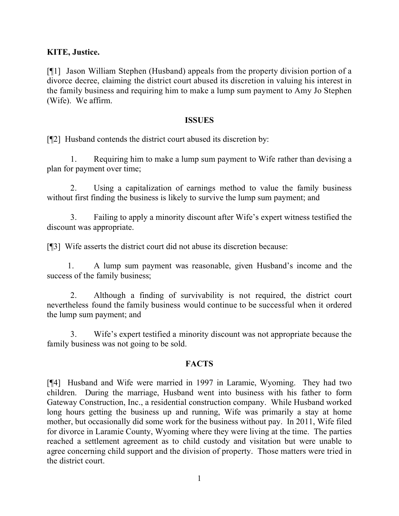### **KITE, Justice.**

[¶1] Jason William Stephen (Husband) appeals from the property division portion of a divorce decree, claiming the district court abused its discretion in valuing his interest in the family business and requiring him to make a lump sum payment to Amy Jo Stephen (Wife). We affirm.

#### **ISSUES**

[¶2] Husband contends the district court abused its discretion by:

1. Requiring him to make a lump sum payment to Wife rather than devising a plan for payment over time;

2. Using a capitalization of earnings method to value the family business without first finding the business is likely to survive the lump sum payment; and

3. Failing to apply a minority discount after Wife's expert witness testified the discount was appropriate.

[¶3] Wife asserts the district court did not abuse its discretion because:

1. A lump sum payment was reasonable, given Husband's income and the success of the family business;

2. Although a finding of survivability is not required, the district court nevertheless found the family business would continue to be successful when it ordered the lump sum payment; and

3. Wife's expert testified a minority discount was not appropriate because the family business was not going to be sold.

### **FACTS**

[¶4] Husband and Wife were married in 1997 in Laramie, Wyoming. They had two children. During the marriage, Husband went into business with his father to form Gateway Construction, Inc., a residential construction company. While Husband worked long hours getting the business up and running, Wife was primarily a stay at home mother, but occasionally did some work for the business without pay. In 2011, Wife filed for divorce in Laramie County, Wyoming where they were living at the time. The parties reached a settlement agreement as to child custody and visitation but were unable to agree concerning child support and the division of property. Those matters were tried in the district court.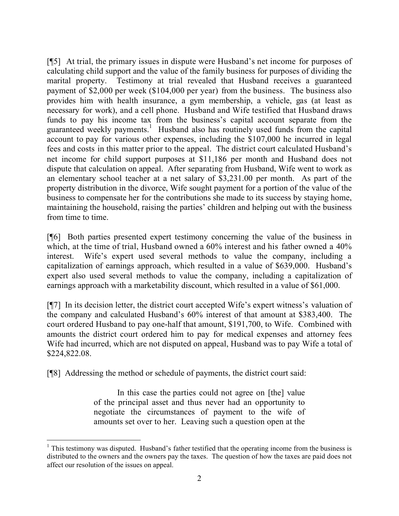[¶5] At trial, the primary issues in dispute were Husband's net income for purposes of calculating child support and the value of the family business for purposes of dividing the marital property. Testimony at trial revealed that Husband receives a guaranteed payment of \$2,000 per week (\$104,000 per year) from the business. The business also provides him with health insurance, a gym membership, a vehicle, gas (at least as necessary for work), and a cell phone. Husband and Wife testified that Husband draws funds to pay his income tax from the business's capital account separate from the guaranteed weekly payments.<sup>1</sup> Husband also has routinely used funds from the capital account to pay for various other expenses, including the \$107,000 he incurred in legal fees and costs in this matter prior to the appeal. The district court calculated Husband's net income for child support purposes at \$11,186 per month and Husband does not dispute that calculation on appeal. After separating from Husband, Wife went to work as an elementary school teacher at a net salary of \$3,231.00 per month. As part of the property distribution in the divorce, Wife sought payment for a portion of the value of the business to compensate her for the contributions she made to its success by staying home, maintaining the household, raising the parties' children and helping out with the business from time to time.

[¶6] Both parties presented expert testimony concerning the value of the business in which, at the time of trial, Husband owned a 60% interest and his father owned a 40% interest. Wife's expert used several methods to value the company, including a capitalization of earnings approach, which resulted in a value of \$639,000. Husband's expert also used several methods to value the company, including a capitalization of earnings approach with a marketability discount, which resulted in a value of \$61,000.

[¶7] In its decision letter, the district court accepted Wife's expert witness's valuation of the company and calculated Husband's 60% interest of that amount at \$383,400. The court ordered Husband to pay one-half that amount, \$191,700, to Wife. Combined with amounts the district court ordered him to pay for medical expenses and attorney fees Wife had incurred, which are not disputed on appeal, Husband was to pay Wife a total of \$224,822.08.

[¶8] Addressing the method or schedule of payments, the district court said:

In this case the parties could not agree on [the] value of the principal asset and thus never had an opportunity to negotiate the circumstances of payment to the wife of amounts set over to her. Leaving such a question open at the

<sup>&</sup>lt;sup>1</sup> This testimony was disputed. Husband's father testified that the operating income from the business is distributed to the owners and the owners pay the taxes. The question of how the taxes are paid does not affect our resolution of the issues on appeal.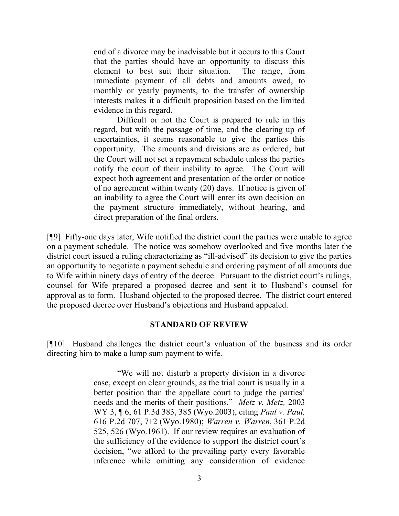end of a divorce may be inadvisable but it occurs to this Court that the parties should have an opportunity to discuss this element to best suit their situation. The range, from immediate payment of all debts and amounts owed, to monthly or yearly payments, to the transfer of ownership interests makes it a difficult proposition based on the limited evidence in this regard.

Difficult or not the Court is prepared to rule in this regard, but with the passage of time, and the clearing up of uncertainties, it seems reasonable to give the parties this opportunity. The amounts and divisions are as ordered, but the Court will not set a repayment schedule unless the parties notify the court of their inability to agree. The Court will expect both agreement and presentation of the order or notice of no agreement within twenty (20) days. If notice is given of an inability to agree the Court will enter its own decision on the payment structure immediately, without hearing, and direct preparation of the final orders.

[¶9] Fifty-one days later, Wife notified the district court the parties were unable to agree on a payment schedule. The notice was somehow overlooked and five months later the district court issued a ruling characterizing as "ill-advised" its decision to give the parties an opportunity to negotiate a payment schedule and ordering payment of all amounts due to Wife within ninety days of entry of the decree. Pursuant to the district court's rulings, counsel for Wife prepared a proposed decree and sent it to Husband's counsel for approval as to form. Husband objected to the proposed decree. The district court entered the proposed decree over Husband's objections and Husband appealed.

#### **STANDARD OF REVIEW**

[¶10] Husband challenges the district court's valuation of the business and its order directing him to make a lump sum payment to wife.

> "We will not disturb a property division in a divorce case, except on clear grounds, as the trial court is usually in a better position than the appellate court to judge the parties' needs and the merits of their positions." *Metz v. Metz,* 2003 WY 3, ¶ 6, 61 P.3d 383, 385 (Wyo.2003), citing *Paul v. Paul,* 616 P.2d 707, 712 (Wyo.1980); *Warren v. Warren*, 361 P.2d 525, 526 (Wyo.1961). If our review requires an evaluation of the sufficiency of the evidence to support the district court's decision, "we afford to the prevailing party every favorable inference while omitting any consideration of evidence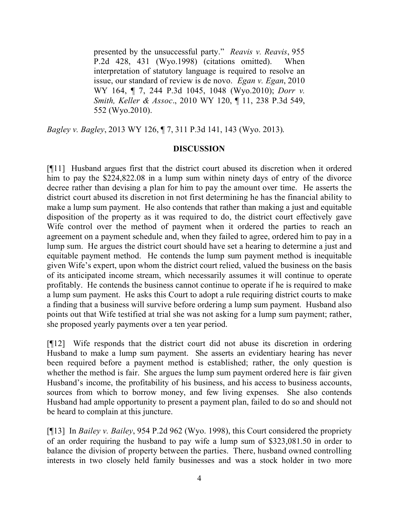presented by the unsuccessful party." *Reavis v. Reavis*, 955 P.2d 428, 431 (Wyo.1998) (citations omitted). When interpretation of statutory language is required to resolve an issue, our standard of review is de novo. *Egan v. Egan*, 2010 WY 164, ¶ 7, 244 P.3d 1045, 1048 (Wyo.2010); *Dorr v. Smith, Keller & Assoc*., 2010 WY 120, ¶ 11, 238 P.3d 549, 552 (Wyo.2010).

*Bagley v. Bagley*, 2013 WY 126, ¶ 7, 311 P.3d 141, 143 (Wyo. 2013).

### **DISCUSSION**

[¶11] Husband argues first that the district court abused its discretion when it ordered him to pay the \$224,822.08 in a lump sum within ninety days of entry of the divorce decree rather than devising a plan for him to pay the amount over time. He asserts the district court abused its discretion in not first determining he has the financial ability to make a lump sum payment. He also contends that rather than making a just and equitable disposition of the property as it was required to do, the district court effectively gave Wife control over the method of payment when it ordered the parties to reach an agreement on a payment schedule and, when they failed to agree, ordered him to pay in a lump sum. He argues the district court should have set a hearing to determine a just and equitable payment method. He contends the lump sum payment method is inequitable given Wife's expert, upon whom the district court relied, valued the business on the basis of its anticipated income stream, which necessarily assumes it will continue to operate profitably. He contends the business cannot continue to operate if he is required to make a lump sum payment. He asks this Court to adopt a rule requiring district courts to make a finding that a business will survive before ordering a lump sum payment. Husband also points out that Wife testified at trial she was not asking for a lump sum payment; rather, she proposed yearly payments over a ten year period.

[¶12] Wife responds that the district court did not abuse its discretion in ordering Husband to make a lump sum payment. She asserts an evidentiary hearing has never been required before a payment method is established; rather, the only question is whether the method is fair. She argues the lump sum payment ordered here is fair given Husband's income, the profitability of his business, and his access to business accounts, sources from which to borrow money, and few living expenses. She also contends Husband had ample opportunity to present a payment plan, failed to do so and should not be heard to complain at this juncture.

[¶13] In *Bailey v. Bailey*, 954 P.2d 962 (Wyo. 1998), this Court considered the propriety of an order requiring the husband to pay wife a lump sum of \$323,081.50 in order to balance the division of property between the parties. There, husband owned controlling interests in two closely held family businesses and was a stock holder in two more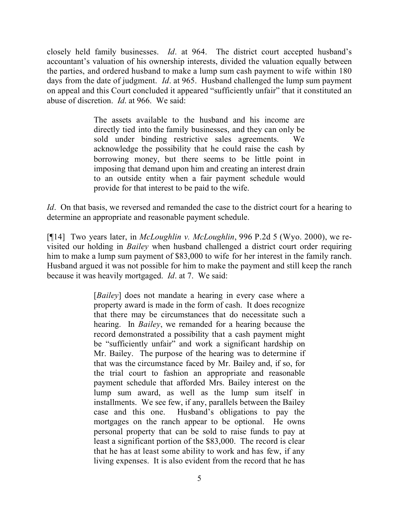closely held family businesses. *Id*. at 964. The district court accepted husband's accountant's valuation of his ownership interests, divided the valuation equally between the parties, and ordered husband to make a lump sum cash payment to wife within 180 days from the date of judgment. *Id*. at 965. Husband challenged the lump sum payment on appeal and this Court concluded it appeared "sufficiently unfair" that it constituted an abuse of discretion. *Id*. at 966. We said:

> The assets available to the husband and his income are directly tied into the family businesses, and they can only be sold under binding restrictive sales agreements. We acknowledge the possibility that he could raise the cash by borrowing money, but there seems to be little point in imposing that demand upon him and creating an interest drain to an outside entity when a fair payment schedule would provide for that interest to be paid to the wife.

*Id.* On that basis, we reversed and remanded the case to the district court for a hearing to determine an appropriate and reasonable payment schedule.

[¶14] Two years later, in *McLoughlin v. McLoughlin*, 996 P.2d 5 (Wyo. 2000), we revisited our holding in *Bailey* when husband challenged a district court order requiring him to make a lump sum payment of \$83,000 to wife for her interest in the family ranch. Husband argued it was not possible for him to make the payment and still keep the ranch because it was heavily mortgaged. *Id*. at 7. We said:

> [*Bailey*] does not mandate a hearing in every case where a property award is made in the form of cash. It does recognize that there may be circumstances that do necessitate such a hearing. In *Bailey*, we remanded for a hearing because the record demonstrated a possibility that a cash payment might be "sufficiently unfair" and work a significant hardship on Mr. Bailey. The purpose of the hearing was to determine if that was the circumstance faced by Mr. Bailey and, if so, for the trial court to fashion an appropriate and reasonable payment schedule that afforded Mrs. Bailey interest on the lump sum award, as well as the lump sum itself in installments. We see few, if any, parallels between the Bailey case and this one. Husband's obligations to pay the mortgages on the ranch appear to be optional. He owns personal property that can be sold to raise funds to pay at least a significant portion of the \$83,000. The record is clear that he has at least some ability to work and has few, if any living expenses. It is also evident from the record that he has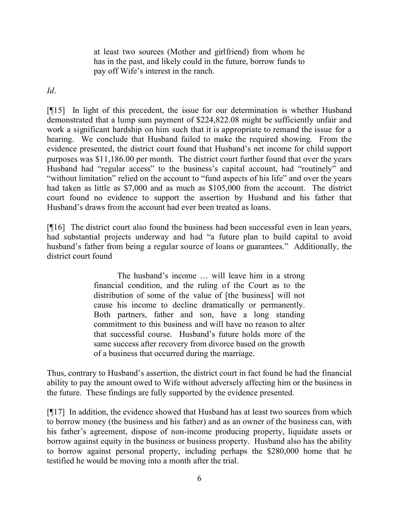at least two sources (Mother and girlfriend) from whom he has in the past, and likely could in the future, borrow funds to pay off Wife's interest in the ranch.

*Id*.

[¶15] In light of this precedent, the issue for our determination is whether Husband demonstrated that a lump sum payment of \$224,822.08 might be sufficiently unfair and work a significant hardship on him such that it is appropriate to remand the issue for a hearing. We conclude that Husband failed to make the required showing. From the evidence presented, the district court found that Husband's net income for child support purposes was \$11,186.00 per month. The district court further found that over the years Husband had "regular access" to the business's capital account, had "routinely" and "without limitation" relied on the account to "fund aspects of his life" and over the years had taken as little as \$7,000 and as much as \$105,000 from the account. The district court found no evidence to support the assertion by Husband and his father that Husband's draws from the account had ever been treated as loans.

[¶16] The district court also found the business had been successful even in lean years, had substantial projects underway and had "a future plan to build capital to avoid husband's father from being a regular source of loans or guarantees." Additionally, the district court found

> The husband's income … will leave him in a strong financial condition, and the ruling of the Court as to the distribution of some of the value of [the business] will not cause his income to decline dramatically or permanently. Both partners, father and son, have a long standing commitment to this business and will have no reason to alter that successful course. Husband's future holds more of the same success after recovery from divorce based on the growth of a business that occurred during the marriage.

Thus, contrary to Husband's assertion, the district court in fact found he had the financial ability to pay the amount owed to Wife without adversely affecting him or the business in the future. These findings are fully supported by the evidence presented.

[¶17] In addition, the evidence showed that Husband has at least two sources from which to borrow money (the business and his father) and as an owner of the business can, with his father's agreement, dispose of non-income producing property, liquidate assets or borrow against equity in the business or business property. Husband also has the ability to borrow against personal property, including perhaps the \$280,000 home that he testified he would be moving into a month after the trial.